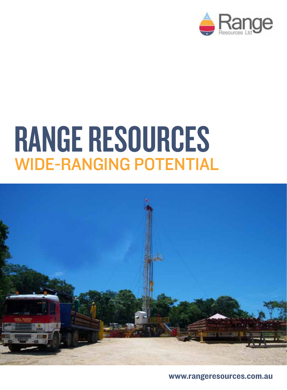

## Range Resources WIDE-RANGING POTENTIAL



www.rangeresources.com.au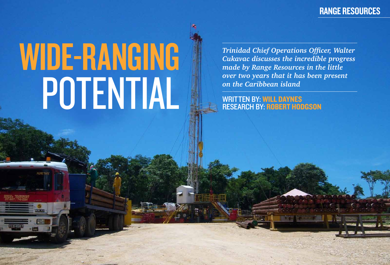# WDE-RANGING potential

*Trinidad Chief Operations Officer, Walter Cukavac discusses the incredible progress made by Range Resources in the little over two years that it has been present on the Caribbean island*

written by: Will Daynes research by: Robert Hodgson

### Range Resources

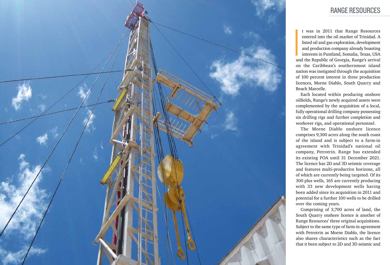

t was in 2011 that Range Resources entered into the oil market of Trinidad. A listed oil and gas exploration, development and production company already boasting interests in Puntland, Somalia, Texas, USA and the Republic of Georgia, Range's arrival on the Caribbean's southernmost island nation was instigated through the acquisition of 100 percent interest in three production licences, Morne Diablo, South Quarry and Beach Marcelle.

Each located within producing onshore oilfields, Range's newly acquired assets were complemented by the acquisition of a local, fully operational drilling company possessing six drilling rigs and further completion and workover rigs, and operational personnel.

The Morne Diablo onshore licence comprises 9,300 acres along the south coast of the island and is subject to a farm-in agreement with Trinidad's national oil company, Petrotrin. Range has extended its existing FOA until 31 December 2021. The licence has 2D and 3D seismic coverage and features multi-productive horizons, all of which are currently being targeted. Of its 300 plus wells, 165 are currently producing with 33 new development wells having been added since its acquisition in 2011 and potential for a further 100 wells to be drilled over the coming years.

Comprising of 3,700 acres of land, the South Quarry onshore licence is another of Range Resources' three original acquisitions. Subject to the same type of farm-in agreement with Petrotrin as Morne Diablo, the licence

also shares characteristics such as the fact that it been subject to 2D and 3D seismic and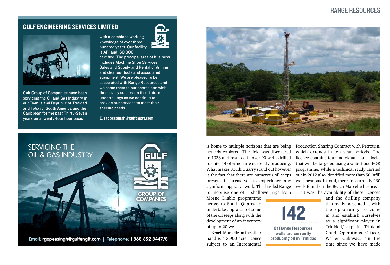



Gulf Group of Companies have been servicing the Oil and Gas Industry in our Twin Island Republic of Trinidad and Tobago, South America and the Caribbean for the past Thirty-Seven years on a twenty-four hour basis

with a combined working knowledge of over three hundred years. Our facility is API and ISO 9001



certified. The principal area of business includes Machine Shop Services, Sales and Supply and Rental of drilling and cleanout tools and associated equipment. We are pleased to be associated with Range Resources and welcome them to our shores and wish them every success in their future undertakings as we continue to provide our services to meet their specific needs.

E. rgopeesingh@gulfengtt.com

#### Gulf Engineering Services Limited



#### Range Resources

is home to multiple horizons that are being actively explored. The field was discovered in 1938 and resulted in over 90 wells drilled to date, 14 of which are currently producing. What makes South Quarry stand out however is the fact that there are numerous oil seeps present in areas yet to experience any significant appraisal work. This has led Range to mobilise one of it shallower rigs from

Morne Diablo programme across to South Quarry to undertake appraisal of some of the oil seeps along with the development of an inventory of up to 20 wells.

Beach Marcelle on the other hand is a 3,900 acre licence subject to an Incremental Production Sharing Contract with Petrotrin, which extends in ten year periods. The licence contains four individual fault blocks that will be targeted using a waterflood EOR programme, while a technical study carried out in 2012 also identified more than 50 infill well locations. In total, there are currently 230 wells found on the Beach Marcelle licence. "It was the availability of these licences

and the drilling company that really presented us with the opportunity to come in and establish ourselves as a significant player in Trinidad," explains Trinidad Chief Operations Officer, Walter Cukavac. "In the time since we have made

142 Of Range Resources' wells are currently producing oil in Trinidad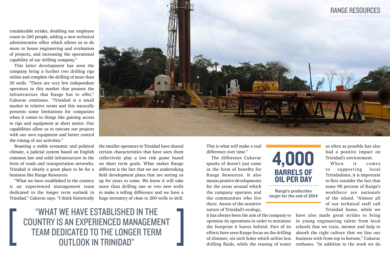"What we have established in the country is an experienced management team dedicated to the longer term outlook in Trinidad"

considerable strides, doubling our employee count to 240 people, adding a new technical administrative office which allows us to do more in house engineering and evaluation of projects, and increasing the operational capability of our drilling company."

This latter development has seen the company bring a further two drilling rigs online and complete the drilling of more than 30 wells. "There are very few independent operators in this market that possess the infrastructure that Range has to offer," Cukavac continues. "Trinidad is a small market in relative terms and this naturally presents some limitations for companies when it comes to things like gaining access to rigs and equipment at short notice. Our capabilities allow us to execute our projects with our own equipment and better control the timing of our activities."

Boasting a stable economic and political climate, a judicial system based on English common law and solid infrastructure in the form of roads and transportation networks, Trinidad is clearly a great place to be for a business like Range Resources.

"What we have established in the country is an experienced management team dedicated to the longer term outlook in Trinidad," Cukavac says. "I think historically

When it comes to supporting local Trinidadians, it is important to first consider the fact that some 98 percent of Range's workforce are nationals of the island. "Almost all of our technical staff call Trinidad home, while we

the smaller operators in Trinidad have shared certain characteristics that have seen them collectively play a low risk game based on short term goals. What makes Range different is the fact that we are undertaking field development plans that are setting us up for years to come. We know it will take more than drilling one or two new wells to make a telling difference and we have a huge inventory of close to 200 wells to drill.

This is what will make a real difference over time."

The difference Cukavac speaks of doesn't just come in the form of benefits for Range Resources. It also means positive developments for the areas around which the company operates and the communities who live there. Aware of the sensitive nature of Trinidad's ecology,

it has always been the aim of the company to optimise its operations in order to minimise the footprint it leaves behind. Part of its efforts have seen Range focus on the drilling of slimmer, six inch holes which utilise less drilling fluids, while the reusing of water



as often as possible has also had a positive impact on Trinidad's environment.

have also made great strides to bring in young engineering talent from local schools that we train, mentor and help to absorb the right culture that we line our business with from top to bottom," Cukavac enthuses. "In addition to the work we do



Range's production target for the end of 2014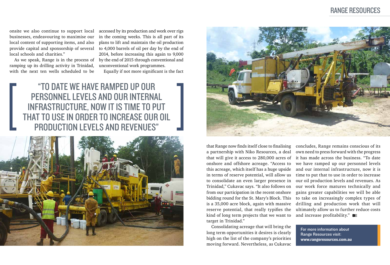"To date we have ramped up our personnel levels and our internal infrastructure, now it is time to put that to use in order to increase our oil production levels and revenues"





onsite we also continue to support local businesses, endeavouring to maximise our local content of supporting items, and also provide capital and sponsorship of several local schools and charities."

As we speak, Range is in the process of ramping up its drilling activity in Trinidad, with the next ten wells scheduled to be

accessed by its production and work over rigs in the coming weeks. This is all part of its plans to lift and maintain the oil production to 4,000 barrels of oil per day by the end of 2014, before increasing this again to 9,000 by the end of 2015 through conventional and unconventional work programmes.

> concludes, Range remains conscious of its own need to press forward with the progress it has made across the business. "To date we have ramped up our personnel levels and our internal infrastructure, now it is time to put that to use in order to increase our oil production levels and revenues. As our work force matures technically and gains greater capabilities we will be able to take on increasingly complex types of drilling and production work that will ultimately allow us to further reduce costs and increase profitability." **BE**

Equally if not more significant is the fact

that Range now finds itself close to finalising a partnership with Niko Resources, a deal that will give it access to 280,000 acres of onshore and offshore acreage. "Access to this acreage, which itself has a huge upside in terms of reserve potential, will allow us to consolidate an even larger presence in Trinidad," Cukavac says. "It also follows on from our participation in the recent onshore bidding round for the St. Mary's Block. This is a 35,000 acre block, again with massive reserve potential, that really typifies the kind of long term projects that we want to target in Trinidad."

Consolidating acreage that will bring the long term opportunities it desires is clearly high on the list of the company's priorities moving forward. Nevertheless, as Cukavac

#### Range Resources

For more information about Range Resources visit: www.rangeresources.com.au